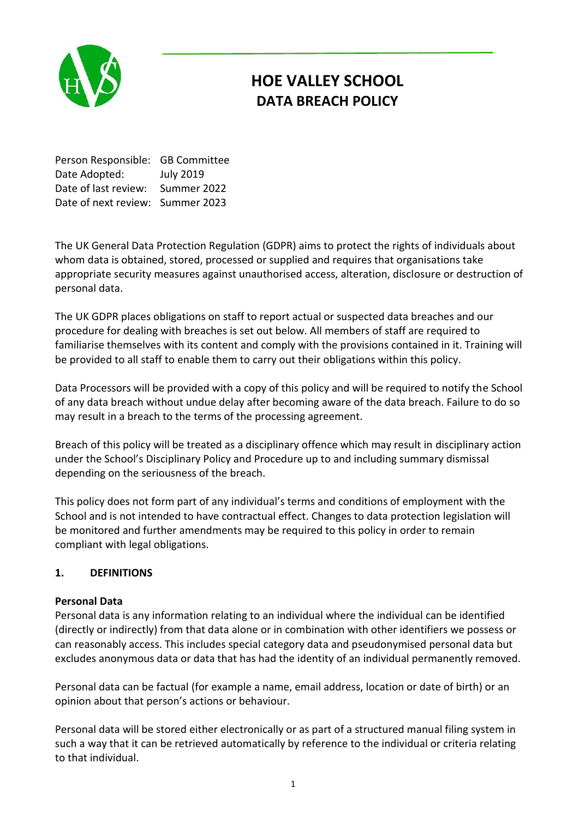

# **HOE VALLEY SCHOOL DATA BREACH POLICY**

Person Responsible: GB Committee Date Adopted: July 2019 Date of last review: Summer 2022 Date of next review: Summer 2023

The UK General Data Protection Regulation (GDPR) aims to protect the rights of individuals about whom data is obtained, stored, processed or supplied and requires that organisations take appropriate security measures against unauthorised access, alteration, disclosure or destruction of personal data.

The UK GDPR places obligations on staff to report actual or suspected data breaches and our procedure for dealing with breaches is set out below. All members of staff are required to familiarise themselves with its content and comply with the provisions contained in it. Training will be provided to all staff to enable them to carry out their obligations within this policy.

Data Processors will be provided with a copy of this policy and will be required to notify the School of any data breach without undue delay after becoming aware of the data breach. Failure to do so may result in a breach to the terms of the processing agreement.

Breach of this policy will be treated as a disciplinary offence which may result in disciplinary action under the School's Disciplinary Policy and Procedure up to and including summary dismissal depending on the seriousness of the breach.

This policy does not form part of any individual's terms and conditions of employment with the School and is not intended to have contractual effect. Changes to data protection legislation will be monitored and further amendments may be required to this policy in order to remain compliant with legal obligations.

# **1. DEFINITIONS**

# **Personal Data**

Personal data is any information relating to an individual where the individual can be identified (directly or indirectly) from that data alone or in combination with other identifiers we possess or can reasonably access. This includes special category data and pseudonymised personal data but excludes anonymous data or data that has had the identity of an individual permanently removed.

Personal data can be factual (for example a name, email address, location or date of birth) or an opinion about that person's actions or behaviour.

Personal data will be stored either electronically or as part of a structured manual filing system in such a way that it can be retrieved automatically by reference to the individual or criteria relating to that individual.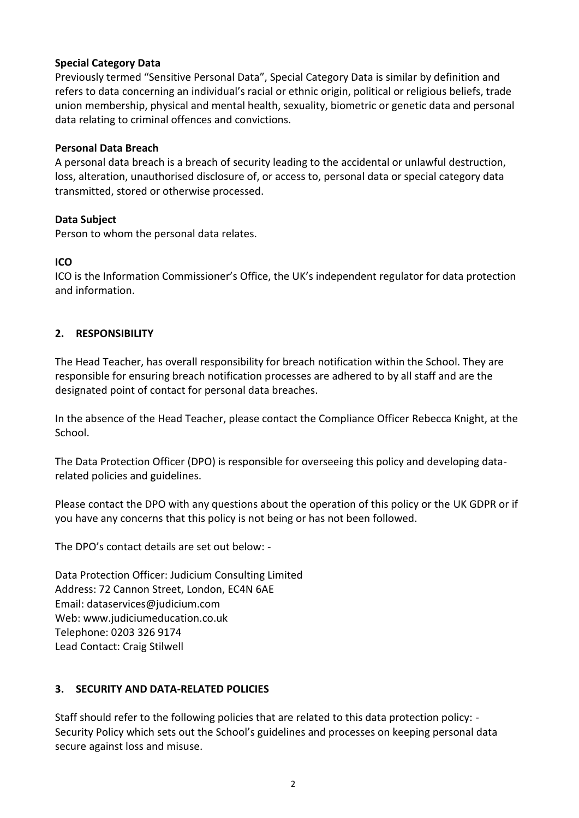#### **Special Category Data**

Previously termed "Sensitive Personal Data", Special Category Data is similar by definition and refers to data concerning an individual's racial or ethnic origin, political or religious beliefs, trade union membership, physical and mental health, sexuality, biometric or genetic data and personal data relating to criminal offences and convictions.

#### **Personal Data Breach**

A personal data breach is a breach of security leading to the accidental or unlawful destruction, loss, alteration, unauthorised disclosure of, or access to, personal data or special category data transmitted, stored or otherwise processed.

#### **Data Subject**

Person to whom the personal data relates.

#### **ICO**

ICO is the Information Commissioner's Office, the UK's independent regulator for data protection and information.

# **2. RESPONSIBILITY**

The Head Teacher, has overall responsibility for breach notification within the School. They are responsible for ensuring breach notification processes are adhered to by all staff and are the designated point of contact for personal data breaches.

In the absence of the Head Teacher, please contact the Compliance Officer Rebecca Knight, at the School.

The Data Protection Officer (DPO) is responsible for overseeing this policy and developing datarelated policies and guidelines.

Please contact the DPO with any questions about the operation of this policy or the UK GDPR or if you have any concerns that this policy is not being or has not been followed.

The DPO's contact details are set out below: -

Data Protection Officer: Judicium Consulting Limited Address: 72 Cannon Street, London, EC4N 6AE Email: [dataservices@judicium.com](mailto:dataservices@judicium.com) Web: www.judiciumeducation.co.uk Telephone: 0203 326 9174 Lead Contact: Craig Stilwell

# **3. SECURITY AND DATA-RELATED POLICIES**

Staff should refer to the following policies that are related to this data protection policy: - Security Policy which sets out the School's guidelines and processes on keeping personal data secure against loss and misuse.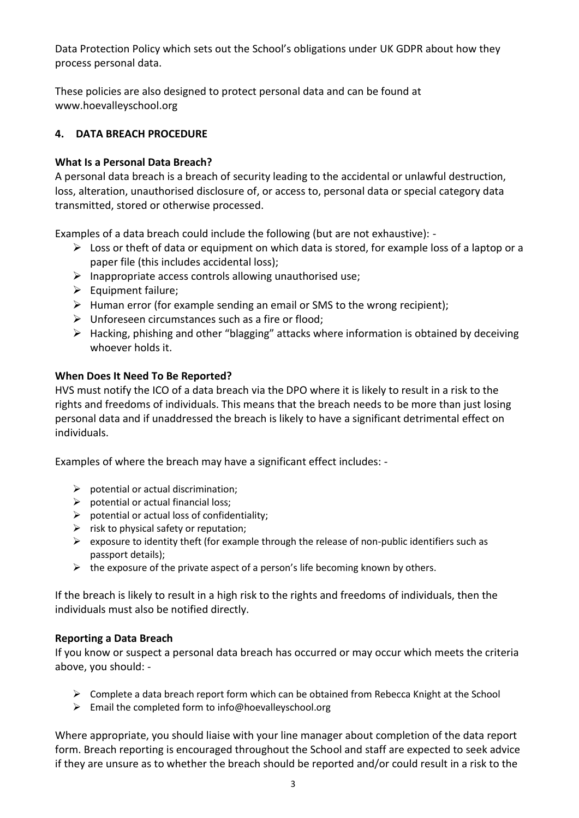Data Protection Policy which sets out the School's obligations under UK GDPR about how they process personal data.

These policies are also designed to protect personal data and can be found at www.hoevalleyschool.org

# **4. DATA BREACH PROCEDURE**

# **What Is a Personal Data Breach?**

A personal data breach is a breach of security leading to the accidental or unlawful destruction, loss, alteration, unauthorised disclosure of, or access to, personal data or special category data transmitted, stored or otherwise processed.

Examples of a data breach could include the following (but are not exhaustive): -

- $\triangleright$  Loss or theft of data or equipment on which data is stored, for example loss of a laptop or a paper file (this includes accidental loss);
- $\triangleright$  Inappropriate access controls allowing unauthorised use;
- $\triangleright$  Equipment failure;
- $\triangleright$  Human error (for example sending an email or SMS to the wrong recipient);
- $\triangleright$  Unforeseen circumstances such as a fire or flood;
- $\triangleright$  Hacking, phishing and other "blagging" attacks where information is obtained by deceiving whoever holds it.

# **When Does It Need To Be Reported?**

HVS must notify the ICO of a data breach via the DPO where it is likely to result in a risk to the rights and freedoms of individuals. This means that the breach needs to be more than just losing personal data and if unaddressed the breach is likely to have a significant detrimental effect on individuals.

Examples of where the breach may have a significant effect includes: -

- $\triangleright$  potential or actual discrimination;
- $\triangleright$  potential or actual financial loss;
- $\triangleright$  potential or actual loss of confidentiality;
- $\triangleright$  risk to physical safety or reputation;
- $\triangleright$  exposure to identity theft (for example through the release of non-public identifiers such as passport details);
- $\triangleright$  the exposure of the private aspect of a person's life becoming known by others.

If the breach is likely to result in a high risk to the rights and freedoms of individuals, then the individuals must also be notified directly.

# **Reporting a Data Breach**

If you know or suspect a personal data breach has occurred or may occur which meets the criteria above, you should: -

- $\triangleright$  Complete a data breach report form which can be obtained from Rebecca Knight at the School
- $\triangleright$  Email the completed form to info@hoevalleyschool.org

Where appropriate, you should liaise with your line manager about completion of the data report form. Breach reporting is encouraged throughout the School and staff are expected to seek advice if they are unsure as to whether the breach should be reported and/or could result in a risk to the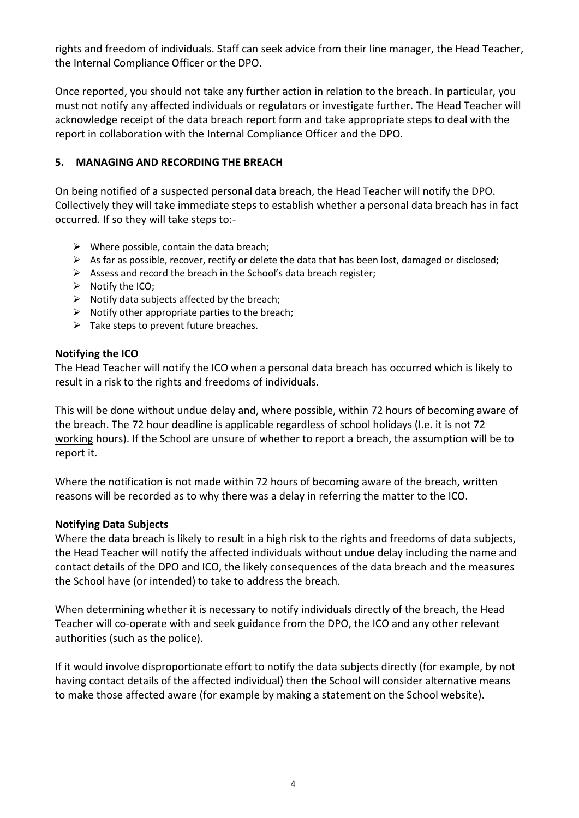rights and freedom of individuals. Staff can seek advice from their line manager, the Head Teacher, the Internal Compliance Officer or the DPO.

Once reported, you should not take any further action in relation to the breach. In particular, you must not notify any affected individuals or regulators or investigate further. The Head Teacher will acknowledge receipt of the data breach report form and take appropriate steps to deal with the report in collaboration with the Internal Compliance Officer and the DPO.

#### **5. MANAGING AND RECORDING THE BREACH**

On being notified of a suspected personal data breach, the Head Teacher will notify the DPO. Collectively they will take immediate steps to establish whether a personal data breach has in fact occurred. If so they will take steps to:-

- $\triangleright$  Where possible, contain the data breach;
- $\triangleright$  As far as possible, recover, rectify or delete the data that has been lost, damaged or disclosed;
- $\triangleright$  Assess and record the breach in the School's data breach register;
- $\triangleright$  Notify the ICO;
- $\triangleright$  Notify data subjects affected by the breach;
- $\triangleright$  Notify other appropriate parties to the breach;
- $\triangleright$  Take steps to prevent future breaches.

#### **Notifying the ICO**

The Head Teacher will notify the ICO when a personal data breach has occurred which is likely to result in a risk to the rights and freedoms of individuals.

This will be done without undue delay and, where possible, within 72 hours of becoming aware of the breach. The 72 hour deadline is applicable regardless of school holidays (I.e. it is not 72 working hours). If the School are unsure of whether to report a breach, the assumption will be to report it.

Where the notification is not made within 72 hours of becoming aware of the breach, written reasons will be recorded as to why there was a delay in referring the matter to the ICO.

#### **Notifying Data Subjects**

Where the data breach is likely to result in a high risk to the rights and freedoms of data subjects, the Head Teacher will notify the affected individuals without undue delay including the name and contact details of the DPO and ICO, the likely consequences of the data breach and the measures the School have (or intended) to take to address the breach.

When determining whether it is necessary to notify individuals directly of the breach, the Head Teacher will co-operate with and seek guidance from the DPO, the ICO and any other relevant authorities (such as the police).

If it would involve disproportionate effort to notify the data subjects directly (for example, by not having contact details of the affected individual) then the School will consider alternative means to make those affected aware (for example by making a statement on the School website).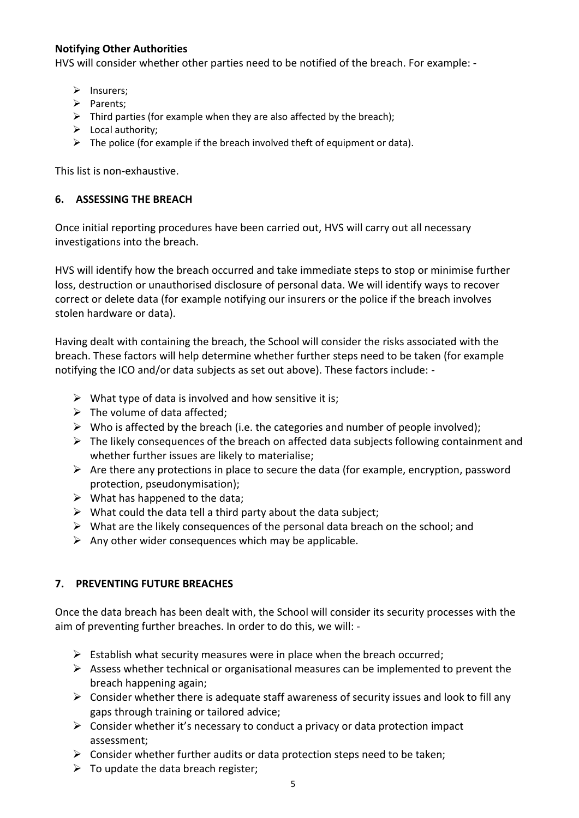# **Notifying Other Authorities**

HVS will consider whether other parties need to be notified of the breach. For example: -

- $\triangleright$  Insurers;
- $\triangleright$  Parents:
- $\triangleright$  Third parties (for example when they are also affected by the breach);
- $\triangleright$  Local authority;
- $\triangleright$  The police (for example if the breach involved theft of equipment or data).

This list is non-exhaustive.

#### **6. ASSESSING THE BREACH**

Once initial reporting procedures have been carried out, HVS will carry out all necessary investigations into the breach.

HVS will identify how the breach occurred and take immediate steps to stop or minimise further loss, destruction or unauthorised disclosure of personal data. We will identify ways to recover correct or delete data (for example notifying our insurers or the police if the breach involves stolen hardware or data).

Having dealt with containing the breach, the School will consider the risks associated with the breach. These factors will help determine whether further steps need to be taken (for example notifying the ICO and/or data subjects as set out above). These factors include: -

- $\triangleright$  What type of data is involved and how sensitive it is;
- $\triangleright$  The volume of data affected;
- $\triangleright$  Who is affected by the breach (i.e. the categories and number of people involved);
- $\triangleright$  The likely consequences of the breach on affected data subjects following containment and whether further issues are likely to materialise;
- $\triangleright$  Are there any protections in place to secure the data (for example, encryption, password protection, pseudonymisation);
- $\triangleright$  What has happened to the data;
- $\triangleright$  What could the data tell a third party about the data subject;
- $\triangleright$  What are the likely consequences of the personal data breach on the school; and
- $\triangleright$  Any other wider consequences which may be applicable.

# **7. PREVENTING FUTURE BREACHES**

Once the data breach has been dealt with, the School will consider its security processes with the aim of preventing further breaches. In order to do this, we will: -

- $\triangleright$  Establish what security measures were in place when the breach occurred;
- $\triangleright$  Assess whether technical or organisational measures can be implemented to prevent the breach happening again;
- $\triangleright$  Consider whether there is adequate staff awareness of security issues and look to fill any gaps through training or tailored advice;
- $\triangleright$  Consider whether it's necessary to conduct a privacy or data protection impact assessment;
- $\triangleright$  Consider whether further audits or data protection steps need to be taken;
- $\triangleright$  To update the data breach register;